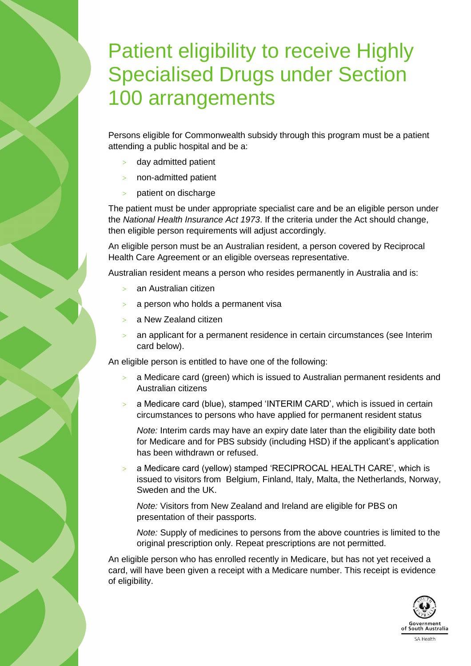## Patient eligibility to receive Highly Specialised Drugs under Section 100 arrangements

Persons eligible for Commonwealth subsidy through this program must be a patient attending a public hospital and be a:

- day admitted patient
- non-admitted patient
- patient on discharge

The patient must be under appropriate specialist care and be an eligible person under the *National Health Insurance Act 1973*. If the criteria under the Act should change, then eligible person requirements will adjust accordingly.

An eligible person must be an Australian resident, a person covered by Reciprocal Health Care Agreement or an eligible overseas representative.

Australian resident means a person who resides permanently in Australia and is:

- an Australian citizen
- a person who holds a permanent visa
- a New Zealand citizen
- an applicant for a permanent residence in certain circumstances (see Interim card below).

An eligible person is entitled to have one of the following:

- $>$  a Medicare card (green) which is issued to Australian permanent residents and Australian citizens
- $>$  a Medicare card (blue), stamped 'INTERIM CARD', which is issued in certain circumstances to persons who have applied for permanent resident status

*Note:* Interim cards may have an expiry date later than the eligibility date both for Medicare and for PBS subsidy (including HSD) if the applicant's application has been withdrawn or refused.

 a Medicare card (yellow) stamped 'RECIPROCAL HEALTH CARE', which is issued to visitors from Belgium, Finland, Italy, Malta, the Netherlands, Norway, Sweden and the UK.

*Note:* Visitors from New Zealand and Ireland are eligible for PBS on presentation of their passports.

*Note:* Supply of medicines to persons from the above countries is limited to the original prescription only. Repeat prescriptions are not permitted.

An eligible person who has enrolled recently in Medicare, but has not yet received a card, will have been given a receipt with a Medicare number. This receipt is evidence of eligibility.